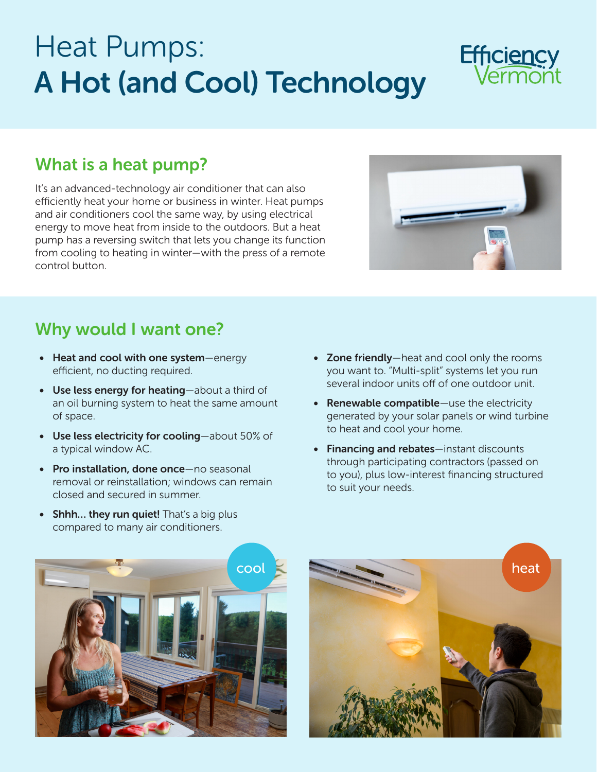# Heat Pumps: A Hot (and Cool) Technology

# Efficiency

### What is a heat pump?

It's an advanced-technology air conditioner that can also efficiently heat your home or business in winter. Heat pumps and air conditioners cool the same way, by using electrical energy to move heat from inside to the outdoors. But a heat pump has a reversing switch that lets you change its function from cooling to heating in winter—with the press of a remote control button.



### Why would I want one?

- Heat and cool with one system-energy efficient, no ducting required.
- Use less energy for heating-about a third of an oil burning system to heat the same amount of space.
- Use less electricity for cooling-about 50% of a typical window AC.
- Pro installation, done once-no seasonal removal or reinstallation; windows can remain closed and secured in summer.
- Shhh... they run quiet! That's a big plus compared to many air conditioners.
- Zone friendly-heat and cool only the rooms you want to. "Multi-split" systems let you run several indoor units off of one outdoor unit.
- Renewable compatible—use the electricity generated by your solar panels or wind turbine to heat and cool your home.
- Financing and rebates—instant discounts through participating contractors (passed on to you), plus low-interest financing structured to suit your needs.